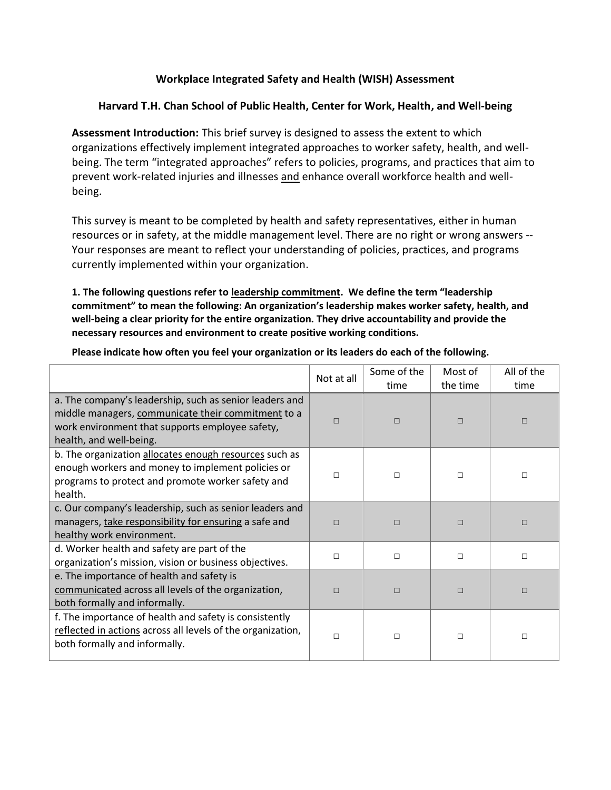## **Workplace Integrated Safety and Health (WISH) Assessment**

## **Harvard T.H. Chan School of Public Health, Center for Work, Health, and Well-being**

**Assessment Introduction:** This brief survey is designed to assess the extent to which organizations effectively implement integrated approaches to worker safety, health, and wellbeing. The term "integrated approaches" refers to policies, programs, and practices that aim to prevent work-related injuries and illnesses and enhance overall workforce health and wellbeing.

This survey is meant to be completed by health and safety representatives, either in human resources or in safety, at the middle management level. There are no right or wrong answers -- Your responses are meant to reflect your understanding of policies, practices, and programs currently implemented within your organization.

**1. The following questions refer to leadership commitment. We define the term "leadership commitment" to mean the following: An organization's leadership makes worker safety, health, and well-being a clear priority for the entire organization. They drive accountability and provide the necessary resources and environment to create positive working conditions.**

|                                                                                                                                                                                             | Not at all | Some of the<br>time | Most of<br>the time | All of the<br>time |
|---------------------------------------------------------------------------------------------------------------------------------------------------------------------------------------------|------------|---------------------|---------------------|--------------------|
| a. The company's leadership, such as senior leaders and<br>middle managers, communicate their commitment to a<br>work environment that supports employee safety,<br>health, and well-being. | □          | □                   | $\Box$              | □                  |
| b. The organization allocates enough resources such as<br>enough workers and money to implement policies or<br>programs to protect and promote worker safety and<br>health.                 | П          | П                   | $\Box$              | □                  |
| c. Our company's leadership, such as senior leaders and<br>managers, take responsibility for ensuring a safe and<br>healthy work environment.                                               | П          | П                   | $\Box$              | П                  |
| d. Worker health and safety are part of the<br>organization's mission, vision or business objectives.                                                                                       | □          | $\Box$              | $\Box$              | □                  |
| e. The importance of health and safety is<br>communicated across all levels of the organization,<br>both formally and informally.                                                           | □          | П                   | $\Box$              | П                  |
| f. The importance of health and safety is consistently<br>reflected in actions across all levels of the organization,<br>both formally and informally.                                      | $\Box$     | П                   | $\Box$              | □                  |

**Please indicate how often you feel your organization or its leaders do each of the following.**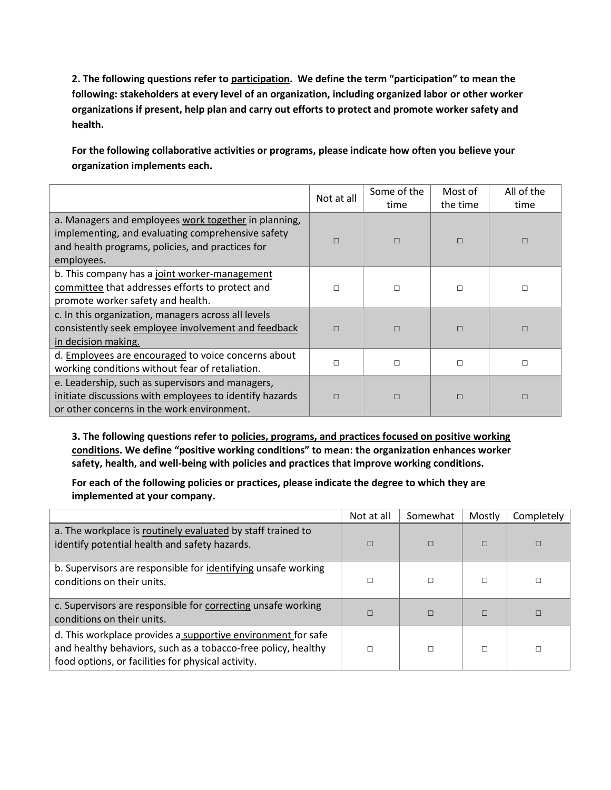**2. The following questions refer to participation. We define the term "participation" to mean the following: stakeholders at every level of an organization, including organized labor or other worker organizations if present, help plan and carry out efforts to protect and promote worker safety and health.**

**For the following collaborative activities or programs, please indicate how often you believe your organization implements each.** 

|                                                                                                                                                                             | Some of the<br>Not at all<br>time |        | Most of<br>the time | All of the<br>time |
|-----------------------------------------------------------------------------------------------------------------------------------------------------------------------------|-----------------------------------|--------|---------------------|--------------------|
| a. Managers and employees work together in planning,<br>implementing, and evaluating comprehensive safety<br>and health programs, policies, and practices for<br>employees. | П                                 | $\Box$ | $\Box$              | П                  |
| b. This company has a joint worker-management<br>committee that addresses efforts to protect and<br>promote worker safety and health.                                       | п                                 | $\Box$ | П                   | □                  |
| c. In this organization, managers across all levels<br>consistently seek employee involvement and feedback<br>in decision making.                                           | П                                 | $\Box$ | $\Box$              | $\Box$             |
| d. Employees are encouraged to voice concerns about<br>working conditions without fear of retaliation.                                                                      | п                                 | $\Box$ | $\Box$              | П                  |
| e. Leadership, such as supervisors and managers,<br>initiate discussions with employees to identify hazards<br>or other concerns in the work environment.                   | П                                 | $\Box$ | $\Box$              | П                  |

**3. The following questions refer to policies, programs, and practices focused on positive working conditions. We define "positive working conditions" to mean: the organization enhances worker safety, health, and well-being with policies and practices that improve working conditions.**

**For each of the following policies or practices, please indicate the degree to which they are implemented at your company.**

|                                                                                                                                                                                     | Not at all | Somewhat | Mostly | Completely |
|-------------------------------------------------------------------------------------------------------------------------------------------------------------------------------------|------------|----------|--------|------------|
| a. The workplace is routinely evaluated by staff trained to<br>identify potential health and safety hazards.                                                                        |            | $\Box$   | П      |            |
| b. Supervisors are responsible for identifying unsafe working<br>conditions on their units.                                                                                         |            |          | П      |            |
| c. Supervisors are responsible for correcting unsafe working<br>conditions on their units.                                                                                          |            | $\Box$   | П      |            |
| d. This workplace provides a supportive environment for safe<br>and healthy behaviors, such as a tobacco-free policy, healthy<br>food options, or facilities for physical activity. |            |          | П      | П          |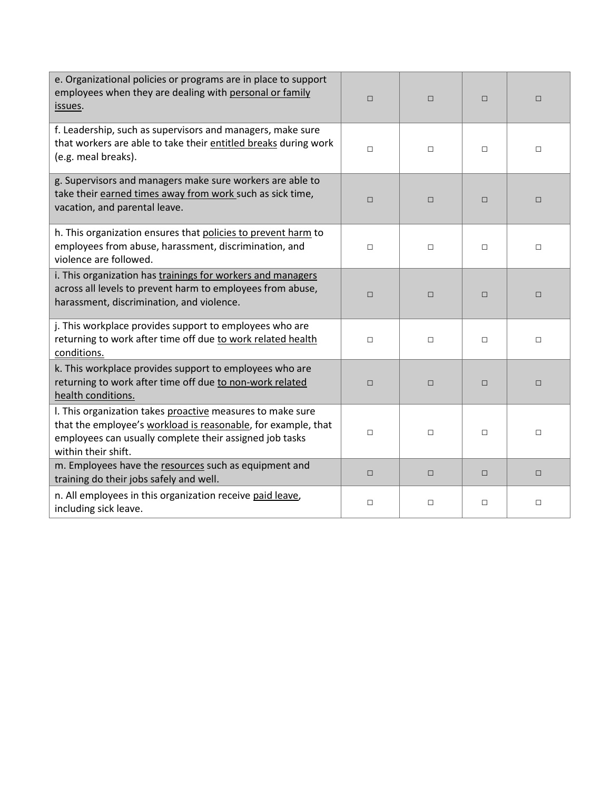| e. Organizational policies or programs are in place to support<br>employees when they are dealing with personal or family<br>issues.                                                                          | $\Box$ | $\Box$ | $\Box$ | $\Box$ |
|---------------------------------------------------------------------------------------------------------------------------------------------------------------------------------------------------------------|--------|--------|--------|--------|
| f. Leadership, such as supervisors and managers, make sure<br>that workers are able to take their entitled breaks during work<br>(e.g. meal breaks).                                                          | $\Box$ | $\Box$ | $\Box$ | $\Box$ |
| g. Supervisors and managers make sure workers are able to<br>take their earned times away from work such as sick time,<br>vacation, and parental leave.                                                       | $\Box$ | $\Box$ | $\Box$ | $\Box$ |
| h. This organization ensures that policies to prevent harm to<br>employees from abuse, harassment, discrimination, and<br>violence are followed.                                                              | $\Box$ | $\Box$ | $\Box$ | $\Box$ |
| i. This organization has trainings for workers and managers<br>across all levels to prevent harm to employees from abuse,<br>harassment, discrimination, and violence.                                        | $\Box$ | $\Box$ | $\Box$ | $\Box$ |
| j. This workplace provides support to employees who are<br>returning to work after time off due to work related health<br>conditions.                                                                         | $\Box$ | $\Box$ | □      | $\Box$ |
| k. This workplace provides support to employees who are<br>returning to work after time off due to non-work related<br>health conditions.                                                                     | $\Box$ | $\Box$ | $\Box$ | $\Box$ |
| I. This organization takes proactive measures to make sure<br>that the employee's workload is reasonable, for example, that<br>employees can usually complete their assigned job tasks<br>within their shift. | $\Box$ | $\Box$ | $\Box$ | $\Box$ |
| m. Employees have the resources such as equipment and<br>training do their jobs safely and well.                                                                                                              | $\Box$ | $\Box$ | $\Box$ | $\Box$ |
| n. All employees in this organization receive paid leave,<br>including sick leave.                                                                                                                            | □      | $\Box$ | □      | □      |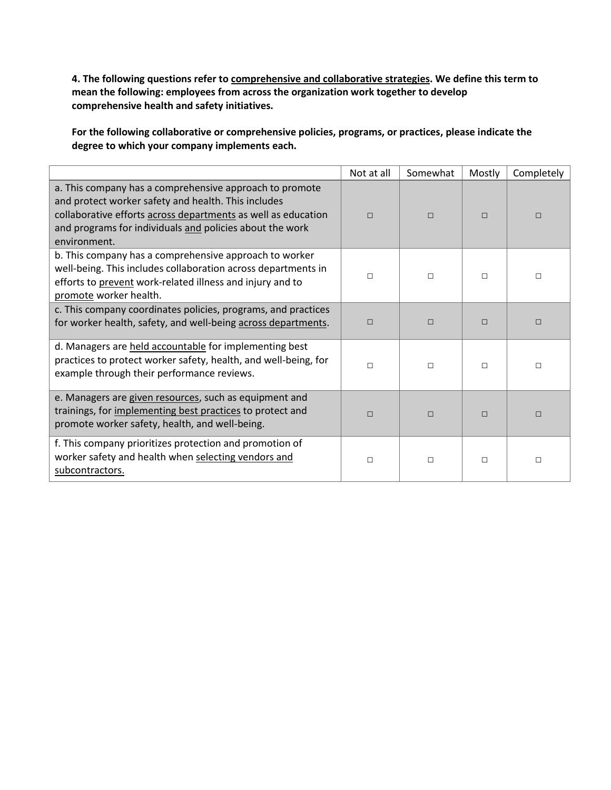**4. The following questions refer to comprehensive and collaborative strategies. We define this term to mean the following: employees from across the organization work together to develop comprehensive health and safety initiatives.**

**For the following collaborative or comprehensive policies, programs, or practices, please indicate the degree to which your company implements each.** 

|                                                                                                                                                                                                                                                             | Not at all | Somewhat | Mostly | Completely |
|-------------------------------------------------------------------------------------------------------------------------------------------------------------------------------------------------------------------------------------------------------------|------------|----------|--------|------------|
| a. This company has a comprehensive approach to promote<br>and protect worker safety and health. This includes<br>collaborative efforts across departments as well as education<br>and programs for individuals and policies about the work<br>environment. | $\Box$     | $\Box$   | $\Box$ | $\Box$     |
| b. This company has a comprehensive approach to worker<br>well-being. This includes collaboration across departments in<br>efforts to prevent work-related illness and injury and to<br>promote worker health.                                              | П          | $\Box$   | $\Box$ | □          |
| c. This company coordinates policies, programs, and practices<br>for worker health, safety, and well-being across departments.                                                                                                                              | П          | $\Box$   | $\Box$ | □          |
| d. Managers are held accountable for implementing best<br>practices to protect worker safety, health, and well-being, for<br>example through their performance reviews.                                                                                     | П          | $\Box$   | $\Box$ | $\Box$     |
| e. Managers are given resources, such as equipment and<br>trainings, for implementing best practices to protect and<br>promote worker safety, health, and well-being.                                                                                       | П          | $\Box$   | $\Box$ | П          |
| f. This company prioritizes protection and promotion of<br>worker safety and health when selecting vendors and<br>subcontractors.                                                                                                                           | □          | $\Box$   | $\Box$ | $\Box$     |